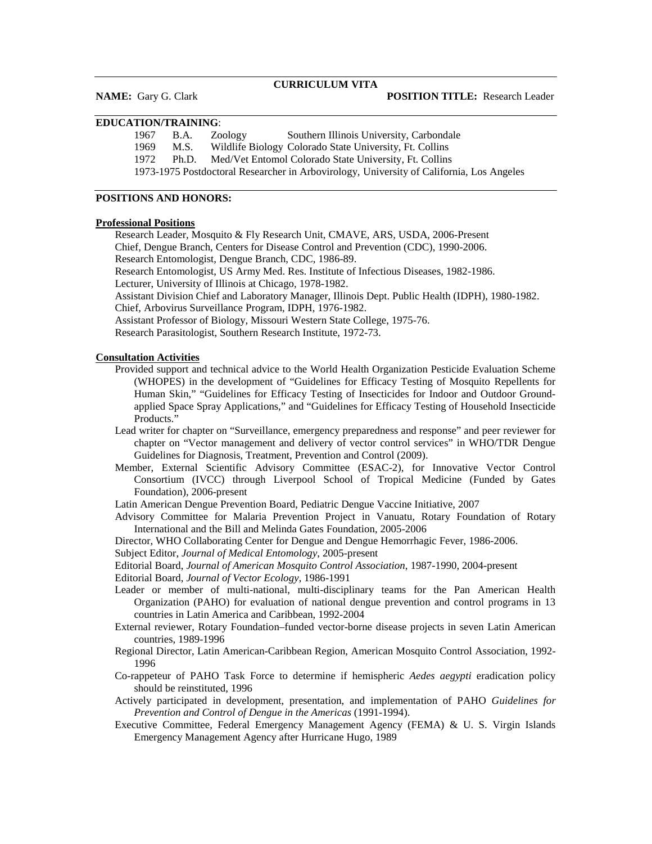#### **NAME:** Gary G. Clark **POSITION TITLE:** Research Leader

# **EDUCATION/TRAINING**:

1967 B.A. Zoology Southern Illinois University, Carbondale

1969 M.S. Wildlife Biology Colorado State University, Ft. Collins

1972 Ph.D. Med/Vet Entomol Colorado State University, Ft. Collins

1973-1975 Postdoctoral Researcher in Arbovirology, University of California, Los Angeles

## **POSITIONS AND HONORS:**

#### **Professional Positions**

Research Leader, Mosquito & Fly Research Unit, CMAVE, ARS, USDA, 2006-Present Chief, Dengue Branch, Centers for Disease Control and Prevention (CDC), 1990-2006. Research Entomologist, Dengue Branch, CDC, 1986-89.

Research Entomologist, US Army Med. Res. Institute of Infectious Diseases, 1982-1986.

Lecturer, University of Illinois at Chicago, 1978-1982.

Assistant Division Chief and Laboratory Manager, Illinois Dept. Public Health (IDPH), 1980-1982.

Chief, Arbovirus Surveillance Program, IDPH, 1976-1982.

Assistant Professor of Biology, Missouri Western State College, 1975-76.

Research Parasitologist, Southern Research Institute, 1972-73.

### **Consultation Activities**

- Provided support and technical advice to the World Health Organization Pesticide Evaluation Scheme (WHOPES) in the development of "Guidelines for Efficacy Testing of Mosquito Repellents for Human Skin," "Guidelines for Efficacy Testing of Insecticides for Indoor and Outdoor Groundapplied Space Spray Applications," and "Guidelines for Efficacy Testing of Household Insecticide Products."
- Lead writer for chapter on "Surveillance, emergency preparedness and response" and peer reviewer for chapter on "Vector management and delivery of vector control services" in WHO/TDR Dengue Guidelines for Diagnosis, Treatment, Prevention and Control (2009).
- Member, External Scientific Advisory Committee (ESAC-2), for Innovative Vector Control Consortium (IVCC) through Liverpool School of Tropical Medicine (Funded by Gates Foundation), 2006-present

Latin American Dengue Prevention Board, Pediatric Dengue Vaccine Initiative, 2007

Advisory Committee for Malaria Prevention Project in Vanuatu, Rotary Foundation of Rotary International and the Bill and Melinda Gates Foundation, 2005-2006

Director, WHO Collaborating Center for Dengue and Dengue Hemorrhagic Fever, 1986-2006.

Subject Editor, *Journal of Medical Entomology*, 2005-present

Editorial Board, *Journal of American Mosquito Control Association*, 1987-1990, 2004-present

Editorial Board, *Journal of Vector Ecology*, 1986-1991

- Leader or member of multi-national, multi-disciplinary teams for the Pan American Health Organization (PAHO) for evaluation of national dengue prevention and control programs in 13 countries in Latin America and Caribbean, 1992-2004
- External reviewer, Rotary Foundation–funded vector-borne disease projects in seven Latin American countries, 1989-1996
- Regional Director, Latin American-Caribbean Region, American Mosquito Control Association, 1992- 1996
- Co-rappeteur of PAHO Task Force to determine if hemispheric *Aedes aegypti* eradication policy should be reinstituted, 1996
- Actively participated in development, presentation, and implementation of PAHO *Guidelines for Prevention and Control of Dengue in the Americas* (1991-1994).
- Executive Committee, Federal Emergency Management Agency (FEMA) & U. S. Virgin Islands Emergency Management Agency after Hurricane Hugo, 1989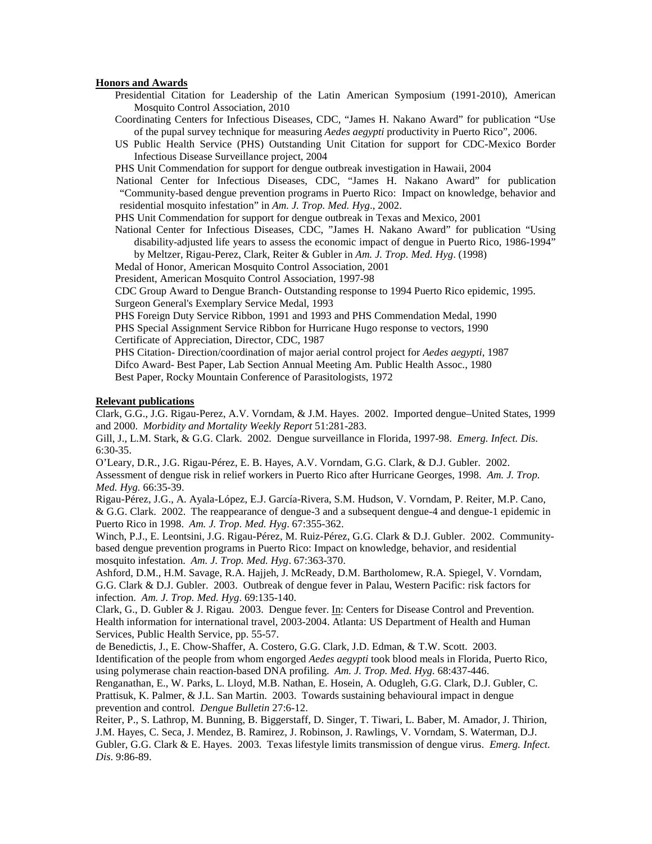## **Honors and Awards**

- Presidential Citation for Leadership of the Latin American Symposium (1991-2010), American Mosquito Control Association, 2010
- Coordinating Centers for Infectious Diseases, CDC, "James H. Nakano Award" for publication "Use of the pupal survey technique for measuring *Aedes aegypti* productivity in Puerto Rico", 2006.
- US Public Health Service (PHS) Outstanding Unit Citation for support for CDC-Mexico Border Infectious Disease Surveillance project, 2004

PHS Unit Commendation for support for dengue outbreak investigation in Hawaii, 2004

 National Center for Infectious Diseases, CDC, "James H. Nakano Award" for publication "Community-based dengue prevention programs in Puerto Rico: Impact on knowledge, behavior and residential mosquito infestation" in *Am. J. Trop. Med. Hyg*., 2002.

PHS Unit Commendation for support for dengue outbreak in Texas and Mexico, 2001

National Center for Infectious Diseases, CDC, "James H. Nakano Award" for publication "Using disability-adjusted life years to assess the economic impact of dengue in Puerto Rico, 1986-1994"

by Meltzer, Rigau-Perez, Clark, Reiter & Gubler in *Am. J. Trop. Med. Hyg*. (1998)

Medal of Honor, American Mosquito Control Association, 2001

President, American Mosquito Control Association, 1997-98

CDC Group Award to Dengue Branch- Outstanding response to 1994 Puerto Rico epidemic, 1995. Surgeon General's Exemplary Service Medal, 1993

PHS Foreign Duty Service Ribbon, 1991 and 1993 and PHS Commendation Medal, 1990

PHS Special Assignment Service Ribbon for Hurricane Hugo response to vectors, 1990

Certificate of Appreciation, Director, CDC, 1987

PHS Citation- Direction/coordination of major aerial control project for *Aedes aegypti*, 1987

Difco Award- Best Paper, Lab Section Annual Meeting Am. Public Health Assoc., 1980

Best Paper, Rocky Mountain Conference of Parasitologists, 1972

## **Relevant publications**

Clark, G.G., J.G. Rigau-Perez, A.V. Vorndam, & J.M. Hayes. 2002. Imported dengue–United States, 1999 and 2000. *Morbidity and Mortality Weekly Report* 51:281-283.

Gill, J., L.M. Stark, & G.G. Clark. 2002. Dengue surveillance in Florida, 1997-98. *Emerg. Infect. Dis*. 6:30-35.

O'Leary, D.R., J.G. Rigau-Pérez, E. B. Hayes, A.V. Vorndam, G.G. Clark, & D.J. Gubler. 2002. Assessment of dengue risk in relief workers in Puerto Rico after Hurricane Georges, 1998. *Am. J. Trop. Med. Hyg.* 66:35-39.

Rigau-Pérez, J.G., A. Ayala-López, E.J. García-Rivera, S.M. Hudson, V. Vorndam, P. Reiter, M.P. Cano, & G.G. Clark. 2002. The reappearance of dengue-3 and a subsequent dengue-4 and dengue-1 epidemic in Puerto Rico in 1998. *Am. J. Trop. Med. Hyg*. 67:355-362.

Winch, P.J., E. Leontsini, J.G. Rigau-Pérez, M. Ruiz-Pérez, G.G. Clark & D.J. Gubler. 2002. Communitybased dengue prevention programs in Puerto Rico: Impact on knowledge, behavior, and residential mosquito infestation. *Am. J. Trop. Med. Hyg*. 67:363-370.

Ashford, D.M., H.M. Savage, R.A. Hajjeh, J. McReady, D.M. Bartholomew, R.A. Spiegel, V. Vorndam, G.G. Clark & D.J. Gubler. 2003. Outbreak of dengue fever in Palau, Western Pacific: risk factors for infection. *Am. J. Trop. Med. Hyg*. 69:135-140.

Clark, G., D. Gubler & J. Rigau. 2003. Dengue fever. In: Centers for Disease Control and Prevention. Health information for international travel, 2003-2004. Atlanta: US Department of Health and Human Services, Public Health Service, pp. 55-57.

de Benedictis, J., E. Chow-Shaffer, A. Costero, G.G. Clark, J.D. Edman, & T.W. Scott. 2003. Identification of the people from whom engorged *Aedes aegypti* took blood meals in Florida, Puerto Rico, using polymerase chain reaction-based DNA profiling. *Am. J. Trop. Med. Hyg.* 68:437-446.

Renganathan, E., W. Parks, L. Lloyd, M.B. Nathan, E. Hosein, A. Odugleh, G.G. Clark, D.J. Gubler, C. Prattisuk, K. Palmer, & J.L. San Martin. 2003. Towards sustaining behavioural impact in dengue prevention and control. *Dengue Bulletin* 27:6-12.

Reiter, P., S. Lathrop, M. Bunning, B. Biggerstaff, D. Singer, T. Tiwari, L. Baber, M. Amador, J. Thirion, J.M. Hayes, C. Seca, J. Mendez, B. Ramirez, J. Robinson, J. Rawlings, V. Vorndam, S. Waterman, D.J. Gubler, G.G. Clark & E. Hayes. 2003. Texas lifestyle limits transmission of dengue virus. *Emerg. Infect. Dis*. 9:86-89.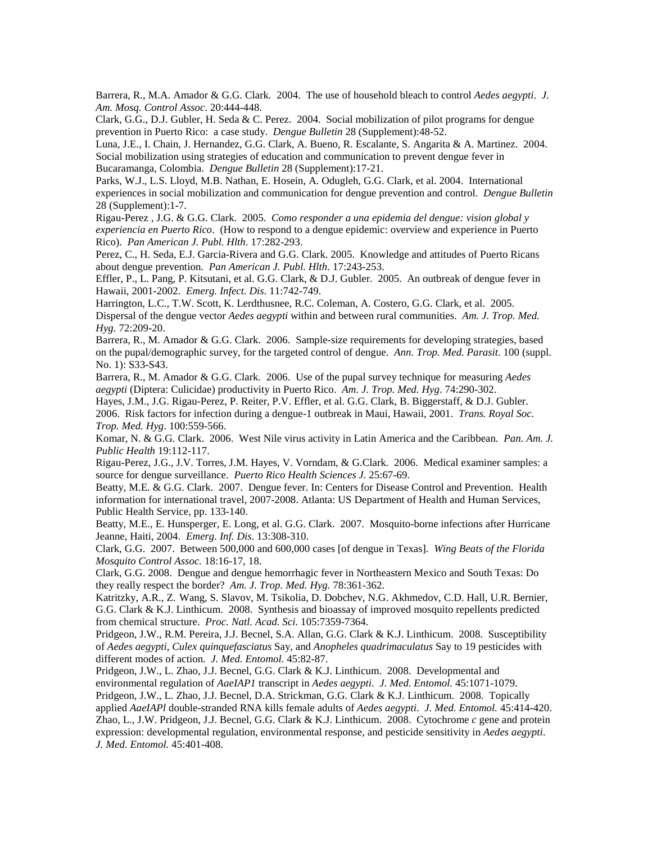Barrera, R., M.A. Amador & G.G. Clark. 2004. The use of household bleach to control *Aedes aegypti*. *J. Am. Mosq. Control Assoc*. 20:444-448.

Clark, G.G., D.J. Gubler, H. Seda & C. Perez. 2004. Social mobilization of pilot programs for dengue prevention in Puerto Rico: a case study. *Dengue Bulletin* 28 (Supplement):48-52.

Luna, J.E., I. Chain, J. Hernandez, G.G. Clark, A. Bueno, R. Escalante, S. Angarita & A. Martinez. 2004. Social mobilization using strategies of education and communication to prevent dengue fever in Bucaramanga, Colombia. *Dengue Bulletin* 28 (Supplement):17-21.

Parks, W.J., L.S. Lloyd, M.B. Nathan, E. Hosein, A. Odugleh, G.G. Clark, et al. 2004. International experiences in social mobilization and communication for dengue prevention and control. *Dengue Bulletin* 28 (Supplement):1-7.

Rigau-Perez , J.G. & G.G. Clark. 2005. *Como responder a una epidemia del dengue: vision global y experiencia en Puerto Rico*. (How to respond to a dengue epidemic: overview and experience in Puerto Rico). *Pan American J. Publ. Hlth*. 17:282-293.

Perez, C., H. Seda, E.J. Garcia-Rivera and G.G. Clark. 2005. Knowledge and attitudes of Puerto Ricans about dengue prevention. *Pan American J. Publ. Hlth*. 17:243-253.

Effler, P., L. Pang, P. Kitsutani, et al. G.G. Clark, & D.J. Gubler. 2005. An outbreak of dengue fever in Hawaii, 2001-2002. *Emerg. Infect. Dis*. 11:742-749.

Harrington, L.C., T.W. Scott, K. Lerdthusnee, R.C. Coleman, A. Costero, G.G. Clark, et al. 2005. Dispersal of the dengue vector *Aedes aegypti* within and between rural communities. *Am. J. Trop. Med. Hyg.* 72:209-20.

Barrera, R., M. Amador & G.G. Clark. 2006. Sample-size requirements for developing strategies, based on the pupal/demographic survey, for the targeted control of dengue. *Ann. Trop. Med. Parasit*. 100 (suppl. No. 1): S33-S43.

Barrera, R., M. Amador & G.G. Clark. 2006. Use of the pupal survey technique for measuring *Aedes aegypti* (Diptera: Culicidae) productivity in Puerto Rico. *Am. J. Trop. Med. Hyg*. 74:290-302.

Hayes, J.M., J.G. Rigau-Perez, P. Reiter, P.V. Effler, et al. G.G. Clark, B. Biggerstaff, & D.J. Gubler. 2006. Risk factors for infection during a dengue-1 outbreak in Maui, Hawaii, 2001. *Trans. Royal Soc. Trop. Med. Hyg*. 100:559-566.

Komar, N. & G.G. Clark. 2006. West Nile virus activity in Latin America and the Caribbean. *Pan. Am. J. Public Health* 19:112-117.

Rigau-Perez, J.G., J.V. Torres, J.M. Hayes, V. Vorndam, & G.Clark. 2006. Medical examiner samples: a source for dengue surveillance. *Puerto Rico Health Sciences J*. 25:67-69.

Beatty, M.E. & G.G. Clark. 2007. Dengue fever. In: Centers for Disease Control and Prevention. Health information for international travel, 2007-2008. Atlanta: US Department of Health and Human Services, Public Health Service, pp. 133-140.

Beatty, M.E., E. Hunsperger, E. Long, et al. G.G. Clark. 2007. Mosquito-borne infections after Hurricane Jeanne, Haiti, 2004. *Emerg. Inf. Dis*. 13:308-310.

Clark, G.G. 2007. Between 500,000 and 600,000 cases [of dengue in Texas]. *Wing Beats of the Florida Mosquito Control Assoc.* 18:16-17, 18.

Clark, G.G. 2008. Dengue and dengue hemorrhagic fever in Northeastern Mexico and South Texas: Do they really respect the border? *Am. J. Trop. Med. Hyg.* 78:361-362.

[Katritzky,](http://www.pnas.org/search?author1=Alan+R.+Katritzky&sortspec=date&submit=Submit) A.R., Z. [Wang,](http://www.pnas.org/search?author1=Zuoquan+Wang&sortspec=date&submit=Submit) S. [Slavov,](http://www.pnas.org/search?author1=Svetoslav+Slavov&sortspec=date&submit=Submit) M. [Tsikolia,](http://www.pnas.org/search?author1=Maia+Tsikolia&sortspec=date&submit=Submit) D[. Dobchev,](http://www.pnas.org/search?author1=Dimitar+Dobchev&sortspec=date&submit=Submit) N.G. [Akhmedov,](http://www.pnas.org/search?author1=Novruz+G.+Akhmedov&sortspec=date&submit=Submit) C.D. [Hall,](http://www.pnas.org/search?author1=C.+Dennis+Hall&sortspec=date&submit=Submit) U.R. [Bernier,](http://www.pnas.org/search?author1=Ulrich+R.+Bernier&sortspec=date&submit=Submit) G.G. [Clark](http://www.pnas.org/search?author1=Gary+G.+Clark&sortspec=date&submit=Submit) & K.J[. Linthicum.](http://www.pnas.org/search?author1=Kenneth+J.+Linthicum&sortspec=date&submit=Submit) 2008. Synthesis and bioassay of improved mosquito repellents predicted from chemical structure. *Proc. Natl. Acad. Sci*. 105:7359-7364.

Pridgeon, J.W., R.M. Pereira, J.J. Becnel, S.A. Allan, G.G. Clark & K.J. Linthicum. 2008. Susceptibility of *Aedes aegypti, Culex quinquefasciatus* Say, and *Anopheles quadrimaculatus* Say to 19 pesticides with different modes of action. *J. Med. Entomol.* 45:82-87.

Pridgeon, J.W., L. Zhao, J.J. Becnel, G.G. Clark & K.J. Linthicum. 2008. [Developmental and](http://www.ncbi.nlm.nih.gov/pubmed/19058631?ordinalpos=3&itool=EntrezSystem2.PEntrez.Pubmed.Pubmed_ResultsPanel.Pubmed_DefaultReportPanel.Pubmed_RVDocSum)  [environmental regulation of](http://www.ncbi.nlm.nih.gov/pubmed/19058631?ordinalpos=3&itool=EntrezSystem2.PEntrez.Pubmed.Pubmed_ResultsPanel.Pubmed_DefaultReportPanel.Pubmed_RVDocSum) *AaeIAP1* transcript in *Aedes aegypti*. *J. Med. Entomol.* 45:1071-1079. Pridgeon, J.W., L. Zhao, J.J. Becnel, D.A. Strickman, G.G. Clark & K.J. Linthicum. 2008. Topically applied *AaeIAPl* double-stranded RNA kills female adults of *Aedes aegypti*. *J. Med. Entomol.* 45:414-420. Zhao, L., J.W. Pridgeon, J.J. Becnel, G.G. Clark & K.J. Linthicum. 2008. Cytochrome *c* gene and protein expression: developmental regulation, environmental response, and pesticide sensitivity in *Aedes aegypti*. *J. Med. Entomol.* 45:401-408.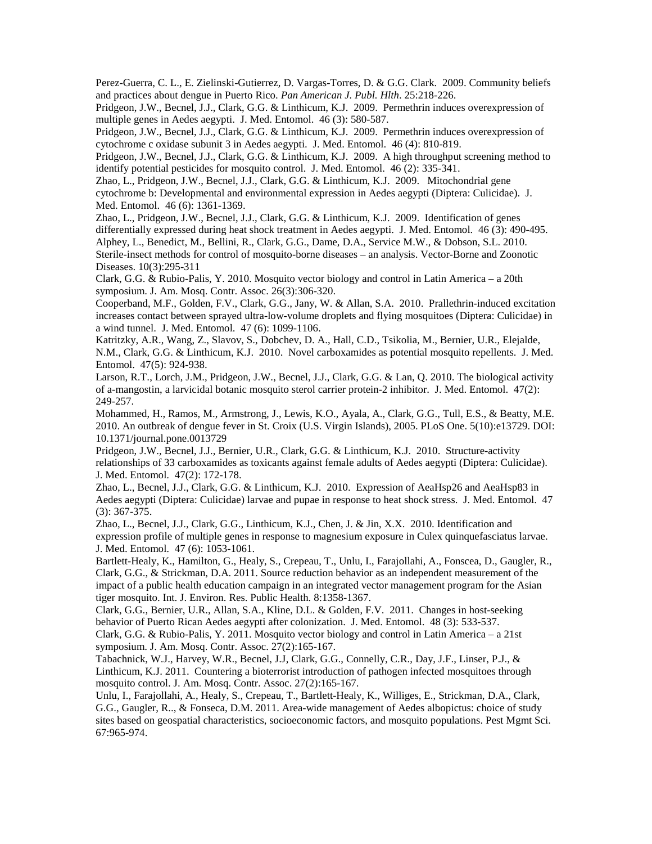Perez-Guerra, C. L., E. Zielinski-Gutierrez, D. Vargas-Torres, D. & G.G. Clark. 2009. Community beliefs and practices about dengue in Puerto Rico. *Pan American J. Publ. Hlth*. 25:218-226.

Pridgeon, J.W., Becnel, J.J., Clark, G.G. & Linthicum, K.J. 2009. Permethrin induces overexpression of multiple genes in Aedes aegypti. J. Med. Entomol. 46 (3): 580-587.

Pridgeon, J.W., Becnel, J.J., Clark, G.G. & Linthicum, K.J. 2009. Permethrin induces overexpression of cytochrome c oxidase subunit 3 in Aedes aegypti. J. Med. Entomol. 46 (4): 810-819.

Pridgeon, J.W., Becnel, J.J., Clark, G.G. & Linthicum, K.J. 2009. A high throughput screening method to identify potential pesticides for mosquito control. J. Med. Entomol. 46 (2): 335-341.

Zhao, L., Pridgeon, J.W., Becnel, J.J., Clark, G.G. & Linthicum, K.J. 2009. Mitochondrial gene cytochrome b: Developmental and environmental expression in Aedes aegypti (Diptera: Culicidae). J. Med. Entomol. 46 (6): 1361-1369.

Zhao, L., Pridgeon, J.W., Becnel, J.J., Clark, G.G. & Linthicum, K.J. 2009. Identification of genes differentially expressed during heat shock treatment in Aedes aegypti. J. Med. Entomol. 46 (3): 490-495. Alphey, L., Benedict, M., Bellini, R., Clark, G.G., Dame, D.A., Service M.W., & Dobson, S.L. 2010. Sterile-insect methods for control of mosquito-borne diseases – an analysis. Vector-Borne and Zoonotic Diseases. 10(3):295-311

Clark, G.G. & Rubio-Palis, Y. 2010. Mosquito vector biology and control in Latin America – a 20th symposium. J. Am. Mosq. Contr. Assoc. 26(3):306-320.

Cooperband, M.F., Golden, F.V., Clark, G.G., Jany, W. & Allan, S.A. 2010. Prallethrin-induced excitation increases contact between sprayed ultra-low-volume droplets and flying mosquitoes (Diptera: Culicidae) in a wind tunnel. J. Med. Entomol. 47 (6): 1099-1106.

Katritzky, A.R., Wang, Z., Slavov, S., Dobchev, D. A., Hall, C.D., Tsikolia, M., Bernier, U.R., Elejalde, N.M., Clark, G.G. & Linthicum, K.J. 2010. Novel carboxamides as potential mosquito repellents. J. Med. Entomol. 47(5): 924-938.

Larson, R.T., Lorch, J.M., Pridgeon, J.W., Becnel, J.J., Clark, G.G. & Lan, Q. 2010. The biological activity of a-mangostin, a larvicidal botanic mosquito sterol carrier protein-2 inhibitor. J. Med. Entomol. 47(2): 249-257.

Mohammed, H., Ramos, M., Armstrong, J., Lewis, K.O., Ayala, A., Clark, G.G., Tull, E.S., & Beatty, M.E. 2010. An outbreak of dengue fever in St. Croix (U.S. Virgin Islands), 2005. PLoS One. 5(10):e13729. DOI: 10.1371/journal.pone.0013729

Pridgeon, J.W., Becnel, J.J., Bernier, U.R., Clark, G.G. & Linthicum, K.J. 2010. Structure-activity relationships of 33 carboxamides as toxicants against female adults of Aedes aegypti (Diptera: Culicidae). J. Med. Entomol. 47(2): 172-178.

Zhao, L., Becnel, J.J., Clark, G.G. & Linthicum, K.J. 2010. Expression of AeaHsp26 and AeaHsp83 in Aedes aegypti (Diptera: Culicidae) larvae and pupae in response to heat shock stress. J. Med. Entomol. 47 (3): 367-375.

Zhao, L., Becnel, J.J., Clark, G.G., Linthicum, K.J., Chen, J. & Jin, X.X. 2010. Identification and expression profile of multiple genes in response to magnesium exposure in Culex quinquefasciatus larvae. J. Med. Entomol. 47 (6): 1053-1061.

Bartlett-Healy, K., Hamilton, G., Healy, S., Crepeau, T., Unlu, I., Farajollahi, A., Fonscea, D., Gaugler, R., Clark, G.G., & Strickman, D.A. 2011. Source reduction behavior as an independent measurement of the impact of a public health education campaign in an integrated vector management program for the Asian tiger mosquito. Int. J. Environ. Res. Public Health. 8:1358-1367.

Clark, G.G., Bernier, U.R., Allan, S.A., Kline, D.L. & Golden, F.V. 2011. Changes in host-seeking behavior of Puerto Rican Aedes aegypti after colonization. J. Med. Entomol. 48 (3): 533-537.

Clark, G.G. & Rubio-Palis, Y. 2011. Mosquito vector biology and control in Latin America – a 21st symposium. J. Am. Mosq. Contr. Assoc. 27(2):165-167.

Tabachnick, W.J., Harvey, W.R., Becnel, J.J, Clark, G.G., Connelly, C.R., Day, J.F., Linser, P.J., & Linthicum, K.J. 2011. Countering a bioterrorist introduction of pathogen infected mosquitoes through mosquito control. J. Am. Mosq. Contr. Assoc. 27(2):165-167.

Unlu, I., Farajollahi, A., Healy, S., Crepeau, T., Bartlett-Healy, K., Williges, E., Strickman, D.A., Clark, G.G., Gaugler, R.., & Fonseca, D.M. 2011. Area-wide management of Aedes albopictus: choice of study sites based on geospatial characteristics, socioeconomic factors, and mosquito populations. Pest Mgmt Sci. 67:965-974.